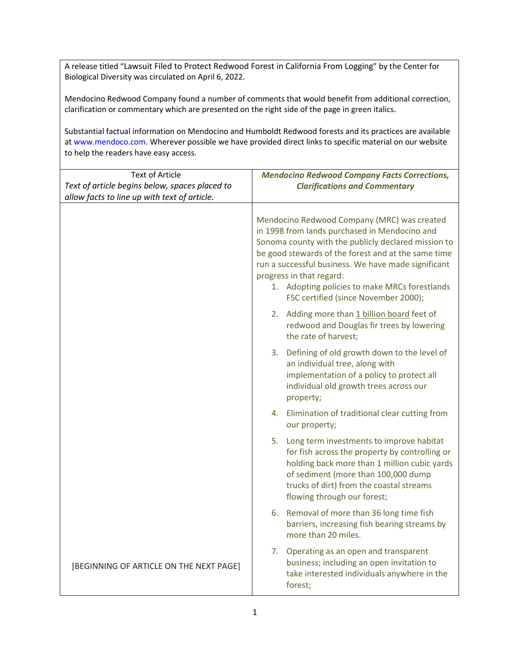A release titled "Lawsuit Filed to Protect Redwood Forest in California From Logging" by the Center for Biological Diversity was circulated on April 6, 2022.

Mendocino Redwood Company found a number of comments that would benefit from additional correction, clarification or commentary which are presented on the right side of the page in green italics.

Substantial factual information on Mendocino and Humboldt Redwood forests and its practices are available at www.mendoco.com. Wherever possible we have provided direct links to specific material on our website to help the readers have easy access.

| <b>Text of Article</b><br>Text of article begins below, spaces placed to<br>allow facts to line up with text of article. | <b>Mendocino Redwood Company Facts Corrections,</b><br><b>Clarifications and Commentary</b>                                                                                                                                                                                                                                                                                            |
|--------------------------------------------------------------------------------------------------------------------------|----------------------------------------------------------------------------------------------------------------------------------------------------------------------------------------------------------------------------------------------------------------------------------------------------------------------------------------------------------------------------------------|
|                                                                                                                          | Mendocino Redwood Company (MRC) was created<br>in 1998 from lands purchased in Mendocino and<br>Sonoma county with the publicly declared mission to<br>be good stewards of the forest and at the same time<br>run a successful business. We have made significant<br>progress in that regard:<br>1. Adopting policies to make MRCs forestlands<br>FSC certified (since November 2000); |
|                                                                                                                          | 2. Adding more than 1 billion board feet of<br>redwood and Douglas fir trees by lowering<br>the rate of harvest;                                                                                                                                                                                                                                                                       |
|                                                                                                                          | 3. Defining of old growth down to the level of<br>an individual tree, along with<br>implementation of a policy to protect all<br>individual old growth trees across our<br>property;                                                                                                                                                                                                   |
|                                                                                                                          | 4. Elimination of traditional clear cutting from<br>our property;                                                                                                                                                                                                                                                                                                                      |
|                                                                                                                          | 5. Long term investments to improve habitat<br>for fish across the property by controlling or<br>holding back more than 1 million cubic yards<br>of sediment (more than 100,000 dump<br>trucks of dirt) from the coastal streams<br>flowing through our forest;                                                                                                                        |
|                                                                                                                          | 6. Removal of more than 36 long time fish<br>barriers, increasing fish bearing streams by<br>more than 20 miles.                                                                                                                                                                                                                                                                       |
| [BEGINNING OF ARTICLE ON THE NEXT PAGE]                                                                                  | 7. Operating as an open and transparent<br>business; including an open invitation to<br>take interested individuals anywhere in the<br>forest;                                                                                                                                                                                                                                         |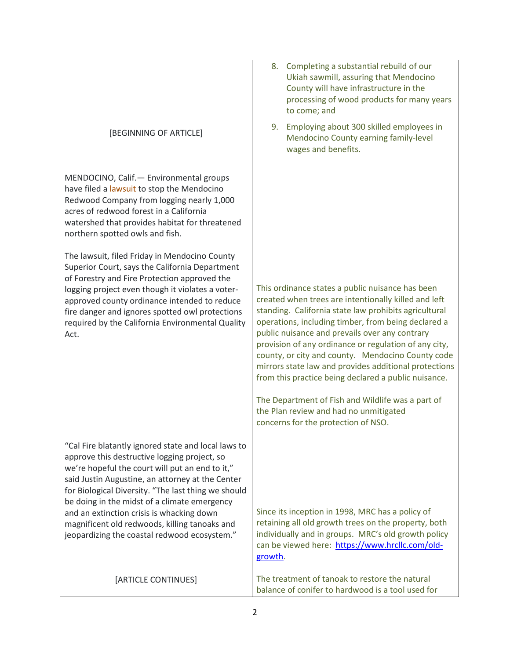|                                                                                                                                                                                                                                                                                                                   | 8. Completing a substantial rebuild of our<br>Ukiah sawmill, assuring that Mendocino<br>County will have infrastructure in the<br>processing of wood products for many years<br>to come; and |
|-------------------------------------------------------------------------------------------------------------------------------------------------------------------------------------------------------------------------------------------------------------------------------------------------------------------|----------------------------------------------------------------------------------------------------------------------------------------------------------------------------------------------|
| [BEGINNING OF ARTICLE]                                                                                                                                                                                                                                                                                            | Employing about 300 skilled employees in<br>9.<br>Mendocino County earning family-level<br>wages and benefits.                                                                               |
| MENDOCINO, Calif. - Environmental groups<br>have filed a lawsuit to stop the Mendocino<br>Redwood Company from logging nearly 1,000<br>acres of redwood forest in a California<br>watershed that provides habitat for threatened<br>northern spotted owls and fish.                                               |                                                                                                                                                                                              |
| The lawsuit, filed Friday in Mendocino County                                                                                                                                                                                                                                                                     |                                                                                                                                                                                              |
| Superior Court, says the California Department<br>of Forestry and Fire Protection approved the                                                                                                                                                                                                                    |                                                                                                                                                                                              |
| logging project even though it violates a voter-                                                                                                                                                                                                                                                                  | This ordinance states a public nuisance has been<br>created when trees are intentionally killed and left                                                                                     |
| approved county ordinance intended to reduce<br>fire danger and ignores spotted owl protections                                                                                                                                                                                                                   | standing. California state law prohibits agricultural                                                                                                                                        |
| required by the California Environmental Quality<br>Act.                                                                                                                                                                                                                                                          | operations, including timber, from being declared a<br>public nuisance and prevails over any contrary                                                                                        |
|                                                                                                                                                                                                                                                                                                                   | provision of any ordinance or regulation of any city,                                                                                                                                        |
|                                                                                                                                                                                                                                                                                                                   | county, or city and county. Mendocino County code<br>mirrors state law and provides additional protections<br>from this practice being declared a public nuisance.                           |
|                                                                                                                                                                                                                                                                                                                   | The Department of Fish and Wildlife was a part of<br>the Plan review and had no unmitigated<br>concerns for the protection of NSO.                                                           |
|                                                                                                                                                                                                                                                                                                                   |                                                                                                                                                                                              |
| "Cal Fire blatantly ignored state and local laws to<br>approve this destructive logging project, so<br>we're hopeful the court will put an end to it,"<br>said Justin Augustine, an attorney at the Center<br>for Biological Diversity. "The last thing we should<br>be doing in the midst of a climate emergency |                                                                                                                                                                                              |
| and an extinction crisis is whacking down                                                                                                                                                                                                                                                                         | Since its inception in 1998, MRC has a policy of                                                                                                                                             |
| magnificent old redwoods, killing tanoaks and<br>jeopardizing the coastal redwood ecosystem."                                                                                                                                                                                                                     | retaining all old growth trees on the property, both<br>individually and in groups. MRC's old growth policy<br>can be viewed here: https://www.hrcllc.com/old-<br>growth.                    |
| [ARTICLE CONTINUES]                                                                                                                                                                                                                                                                                               | The treatment of tanoak to restore the natural                                                                                                                                               |
|                                                                                                                                                                                                                                                                                                                   | balance of conifer to hardwood is a tool used for                                                                                                                                            |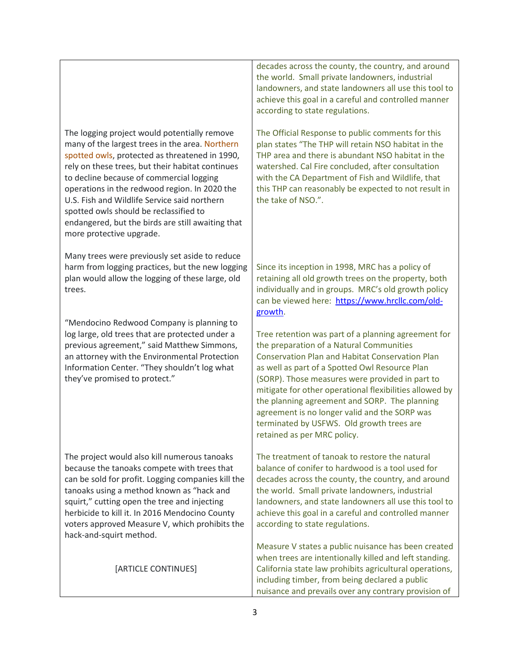The logging project would potentially remove many of the largest trees in the area. Northern spotted owls, protected as threatened in 1990, rely on these trees, but their habitat continues to decline because of commercial logging operations in the redwood region. In 2020 the U.S. Fish and Wildlife Service said northern spotted owls should be reclassified to endangered, but the birds are still awaiting that more protective upgrade. Many trees were previously set aside to reduce harm from logging practices, but the new logging plan would allow the logging of these large, old

"Mendocino Redwood Company is planning to log large, old trees that are protected under a previous agreement," said Matthew Simmons,

trees.

an attorney with the Environmental Protection Information Center. "They shouldn't log what they've promised to protect."

The project would also kill numerous tanoaks because the tanoaks compete with trees that can be sold for profit. Logging companies kill the tanoaks using a method known as "hack and squirt," cutting open the tree and injecting herbicide to kill it. In 2016 Mendocino County voters approved Measure V, which prohibits the hack-and-squirt method.

[ARTICLE CONTINUES]

decades across the county, the country, and around the world. Small private landowners, industrial landowners, and state landowners all use this tool to achieve this goal in a careful and controlled manner according to state regulations.

The Official Response to public comments for this plan states "The THP will retain NSO habitat in the THP area and there is abundant NSO habitat in the watershed. Cal Fire concluded, after consultation with the CA Department of Fish and Wildlife, that this THP can reasonably be expected to not result in the take of NSO.".

Since its inception in 1998, MRC has a policy of retaining all old growth trees on the property, both individually and in groups. MRC's old growth policy can be viewed here: [https://www.hrcllc.com/old](https://www.hrcllc.com/old-growth)[growth.](https://www.hrcllc.com/old-growth)

Tree retention was part of a planning agreement for the preparation of a Natural Communities Conservation Plan and Habitat Conservation Plan as well as part of a Spotted Owl Resource Plan (SORP). Those measures were provided in part to mitigate for other operational flexibilities allowed by the planning agreement and SORP. The planning agreement is no longer valid and the SORP was terminated by USFWS. Old growth trees are retained as per MRC policy.

The treatment of tanoak to restore the natural balance of conifer to hardwood is a tool used for decades across the county, the country, and around the world. Small private landowners, industrial landowners, and state landowners all use this tool to achieve this goal in a careful and controlled manner according to state regulations.

Measure V states a public nuisance has been created when trees are intentionally killed and left standing. California state law prohibits agricultural operations, including timber, from being declared a public nuisance and prevails over any contrary provision of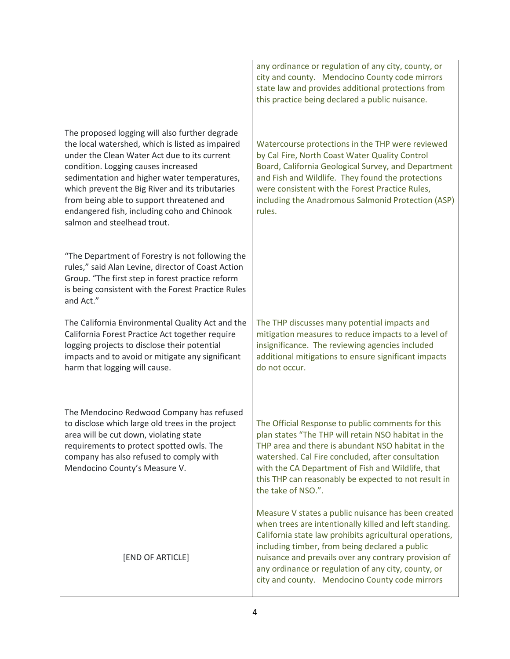|                                                                                                                                                                                                                                                                                                                                                                                                                         | any ordinance or regulation of any city, county, or<br>city and county. Mendocino County code mirrors<br>state law and provides additional protections from<br>this practice being declared a public nuisance.                                                                                                                                                                              |
|-------------------------------------------------------------------------------------------------------------------------------------------------------------------------------------------------------------------------------------------------------------------------------------------------------------------------------------------------------------------------------------------------------------------------|---------------------------------------------------------------------------------------------------------------------------------------------------------------------------------------------------------------------------------------------------------------------------------------------------------------------------------------------------------------------------------------------|
| The proposed logging will also further degrade<br>the local watershed, which is listed as impaired<br>under the Clean Water Act due to its current<br>condition. Logging causes increased<br>sedimentation and higher water temperatures,<br>which prevent the Big River and its tributaries<br>from being able to support threatened and<br>endangered fish, including coho and Chinook<br>salmon and steelhead trout. | Watercourse protections in the THP were reviewed<br>by Cal Fire, North Coast Water Quality Control<br>Board, California Geological Survey, and Department<br>and Fish and Wildlife. They found the protections<br>were consistent with the Forest Practice Rules,<br>including the Anadromous Salmonid Protection (ASP)<br>rules.                                                           |
| "The Department of Forestry is not following the<br>rules," said Alan Levine, director of Coast Action<br>Group. "The first step in forest practice reform<br>is being consistent with the Forest Practice Rules<br>and Act."                                                                                                                                                                                           |                                                                                                                                                                                                                                                                                                                                                                                             |
| The California Environmental Quality Act and the<br>California Forest Practice Act together require<br>logging projects to disclose their potential<br>impacts and to avoid or mitigate any significant<br>harm that logging will cause.                                                                                                                                                                                | The THP discusses many potential impacts and<br>mitigation measures to reduce impacts to a level of<br>insignificance. The reviewing agencies included<br>additional mitigations to ensure significant impacts<br>do not occur.                                                                                                                                                             |
| The Mendocino Redwood Company has refused<br>to disclose which large old trees in the project<br>area will be cut down, violating state<br>requirements to protect spotted owls. The<br>company has also refused to comply with<br>Mendocino County's Measure V.                                                                                                                                                        | The Official Response to public comments for this<br>plan states "The THP will retain NSO habitat in the<br>THP area and there is abundant NSO habitat in the<br>watershed. Cal Fire concluded, after consultation<br>with the CA Department of Fish and Wildlife, that<br>this THP can reasonably be expected to not result in<br>the take of NSO.".                                       |
| [END OF ARTICLE]                                                                                                                                                                                                                                                                                                                                                                                                        | Measure V states a public nuisance has been created<br>when trees are intentionally killed and left standing.<br>California state law prohibits agricultural operations,<br>including timber, from being declared a public<br>nuisance and prevails over any contrary provision of<br>any ordinance or regulation of any city, county, or<br>city and county. Mendocino County code mirrors |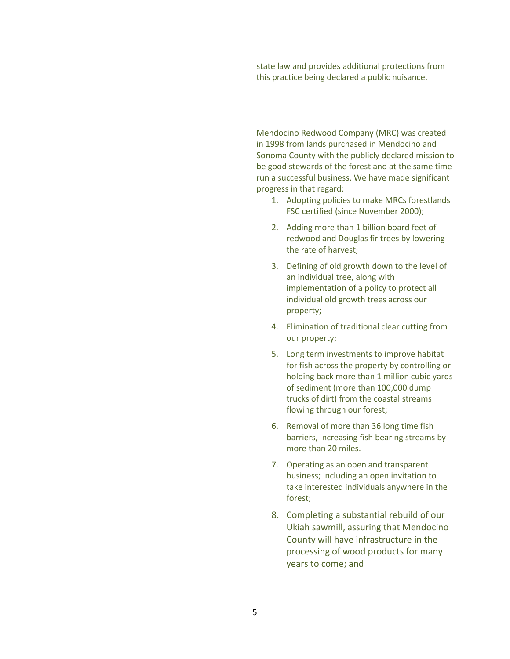| state law and provides additional protections from<br>this practice being declared a public nuisance.                                                                                                                                                                                                                                                                                  |
|----------------------------------------------------------------------------------------------------------------------------------------------------------------------------------------------------------------------------------------------------------------------------------------------------------------------------------------------------------------------------------------|
| Mendocino Redwood Company (MRC) was created<br>in 1998 from lands purchased in Mendocino and<br>Sonoma County with the publicly declared mission to<br>be good stewards of the forest and at the same time<br>run a successful business. We have made significant<br>progress in that regard:<br>1. Adopting policies to make MRCs forestlands<br>FSC certified (since November 2000); |
| 2. Adding more than 1 billion board feet of<br>redwood and Douglas fir trees by lowering<br>the rate of harvest;                                                                                                                                                                                                                                                                       |
| Defining of old growth down to the level of<br>3.<br>an individual tree, along with<br>implementation of a policy to protect all<br>individual old growth trees across our<br>property;                                                                                                                                                                                                |
| 4. Elimination of traditional clear cutting from<br>our property;                                                                                                                                                                                                                                                                                                                      |
| 5.<br>Long term investments to improve habitat<br>for fish across the property by controlling or<br>holding back more than 1 million cubic yards<br>of sediment (more than 100,000 dump<br>trucks of dirt) from the coastal streams<br>flowing through our forest;                                                                                                                     |
| Removal of more than 36 long time fish<br>6.<br>barriers, increasing fish bearing streams by<br>more than 20 miles.                                                                                                                                                                                                                                                                    |
| Operating as an open and transparent<br>7.<br>business; including an open invitation to<br>take interested individuals anywhere in the<br>forest;                                                                                                                                                                                                                                      |
| Completing a substantial rebuild of our<br>8.<br>Ukiah sawmill, assuring that Mendocino<br>County will have infrastructure in the<br>processing of wood products for many<br>years to come; and                                                                                                                                                                                        |